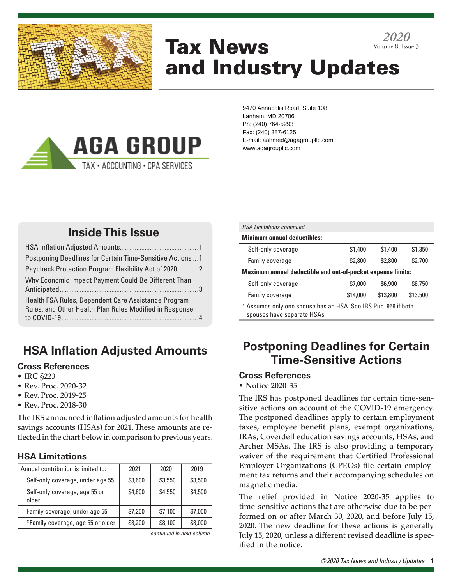

# Tax News and Industry Updates *2020* Volume 8, Issue 3



9470 Annapolis Road, Suite 108 Lanham, MD 20706 Ph: (240) 764-5293 Fax: (240) 387-6125 E-mail: aahmed@agagroupllc.com www.agagroupllc.com

## **Inside This Issue**

| Postponing Deadlines for Certain Time-Sensitive Actions 1                                                      |  |
|----------------------------------------------------------------------------------------------------------------|--|
| Paycheck Protection Program Flexibility Act of 2020  2                                                         |  |
| Why Economic Impact Payment Could Be Different Than                                                            |  |
| Health FSA Rules, Dependent Care Assistance Program<br>Rules, and Other Health Plan Rules Modified in Response |  |
|                                                                                                                |  |

## **HSA Inflation Adjusted Amounts**

#### **Cross References**

- IRC §223
- Rev. Proc. 2020-32
- Rev. Proc. 2019-25
- Rev. Proc. 2018-30

The IRS announced inflation adjusted amounts for health savings accounts (HSAs) for 2021. These amounts are reflected in the chart below in comparison to previous years.

### **HSA Limitations**

| Annual contribution is limited to:     | 2021    | 2020    | 2019    |
|----------------------------------------|---------|---------|---------|
| Self-only coverage, under age 55       | \$3,600 | \$3,550 | \$3,500 |
| Self-only coverage, age 55 or<br>older | \$4,600 | \$4,550 | \$4,500 |
| Family coverage, under age 55          | \$7,200 | \$7,100 | \$7,000 |
| *Family coverage, age 55 or older      | \$8,200 | \$8,100 | \$8,000 |
| continued in next column               |         |         |         |

| <b>HSA Limitations continued</b>                               |          |          |          |  |
|----------------------------------------------------------------|----------|----------|----------|--|
| <b>Minimum annual deductibles:</b>                             |          |          |          |  |
| Self-only coverage                                             | \$1,400  | \$1,400  | \$1,350  |  |
| Family coverage                                                | \$2,800  | \$2,800  | \$2,700  |  |
| Maximum annual deductible and out-of-pocket expense limits:    |          |          |          |  |
| Self-only coverage                                             | \$7,000  | \$6,900  | \$6,750  |  |
| Family coverage                                                | \$14,000 | \$13,800 | \$13,500 |  |
| * Assumes only one spouse has an HSA, See IRS Pub, 969 if both |          |          |          |  |

annes only one spo spouses have separate HSAs.

### **Postponing Deadlines for Certain Time-Sensitive Actions**

#### **Cross References**

• Notice 2020-35

The IRS has postponed deadlines for certain time-sensitive actions on account of the COVID-19 emergency. The postponed deadlines apply to certain employment taxes, employee benefit plans, exempt organizations, IRAs, Coverdell education savings accounts, HSAs, and Archer MSAs. The IRS is also providing a temporary waiver of the requirement that Certified Professional Employer Organizations (CPEOs) file certain employment tax returns and their accompanying schedules on magnetic media.

The relief provided in Notice 2020-35 applies to time-sensitive actions that are otherwise due to be performed on or after March 30, 2020, and before July 15, 2020. The new deadline for these actions is generally July 15, 2020, unless a different revised deadline is specified in the notice.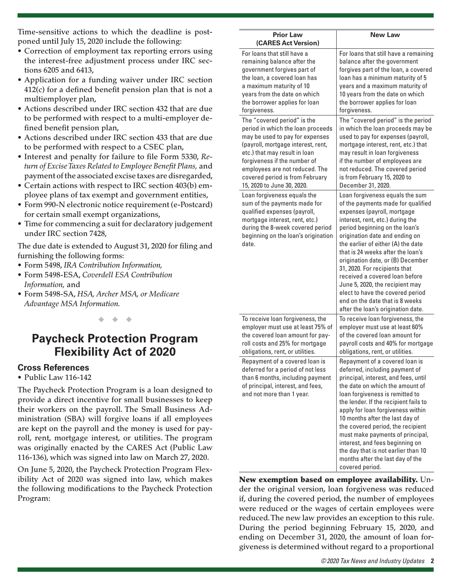Time-sensitive actions to which the deadline is postponed until July 15, 2020 include the following:

- Correction of employment tax reporting errors using the interest-free adjustment process under IRC sections 6205 and 6413,
- Application for a funding waiver under IRC section 412(c) for a defined benefit pension plan that is not a multiemployer plan,
- Actions described under IRC section 432 that are due to be performed with respect to a multi-employer defined benefit pension plan,
- Actions described under IRC section 433 that are due to be performed with respect to a CSEC plan,
- Interest and penalty for failure to file Form 5330, *Return of Excise Taxes Related to Employee Benefit Plans,* and payment of the associated excise taxes are disregarded,
- Certain actions with respect to IRC section 403(b) employee plans of tax exempt and government entities,
- Form 990-N electronic notice requirement (e-Postcard) for certain small exempt organizations,
- Time for commencing a suit for declaratory judgement under IRC section 7428,

The due date is extended to August 31, 2020 for filing and furnishing the following forms:

- Form 5498, *IRA Contribution Information,*
- Form 5498-ESA, *Coverdell ESA Contribution Information,* and
- Form 5498-SA, *HSA, Archer MSA, or Medicare Advantage MSA Information.*

◆ ◆ ◆

### **Paycheck Protection Program Flexibility Act of 2020**

#### **Cross References**

• Public Law 116-142

The Paycheck Protection Program is a loan designed to provide a direct incentive for small businesses to keep their workers on the payroll. The Small Business Administration (SBA) will forgive loans if all employees are kept on the payroll and the money is used for payroll, rent, mortgage interest, or utilities. The program was originally enacted by the CARES Act (Public Law 116-136), which was signed into law on March 27, 2020.

On June 5, 2020, the Paycheck Protection Program Flexibility Act of 2020 was signed into law, which makes the following modifications to the Paycheck Protection Program:

| <b>Prior Law</b><br>(CARES Act Version)                                                                                                                                                                           | <b>New Law</b>                                                                                                                                                                                                                                                                                                                                                                                                                                                                                                                                  |
|-------------------------------------------------------------------------------------------------------------------------------------------------------------------------------------------------------------------|-------------------------------------------------------------------------------------------------------------------------------------------------------------------------------------------------------------------------------------------------------------------------------------------------------------------------------------------------------------------------------------------------------------------------------------------------------------------------------------------------------------------------------------------------|
| For loans that still have a                                                                                                                                                                                       | For loans that still have a remaining                                                                                                                                                                                                                                                                                                                                                                                                                                                                                                           |
| remaining balance after the                                                                                                                                                                                       | balance after the government                                                                                                                                                                                                                                                                                                                                                                                                                                                                                                                    |
| government forgives part of                                                                                                                                                                                       | forgives part of the loan, a covered                                                                                                                                                                                                                                                                                                                                                                                                                                                                                                            |
| the loan, a covered loan has                                                                                                                                                                                      | loan has a minimum maturity of 5                                                                                                                                                                                                                                                                                                                                                                                                                                                                                                                |
| a maximum maturity of 10                                                                                                                                                                                          | years and a maximum maturity of                                                                                                                                                                                                                                                                                                                                                                                                                                                                                                                 |
| years from the date on which                                                                                                                                                                                      | 10 years from the date on which                                                                                                                                                                                                                                                                                                                                                                                                                                                                                                                 |
| the borrower applies for loan                                                                                                                                                                                     | the borrower applies for loan                                                                                                                                                                                                                                                                                                                                                                                                                                                                                                                   |
| forgiveness.                                                                                                                                                                                                      | forgiveness.                                                                                                                                                                                                                                                                                                                                                                                                                                                                                                                                    |
| The "covered period" is the                                                                                                                                                                                       | The "covered period" is the period                                                                                                                                                                                                                                                                                                                                                                                                                                                                                                              |
| period in which the loan proceeds                                                                                                                                                                                 | in which the loan proceeds may be                                                                                                                                                                                                                                                                                                                                                                                                                                                                                                               |
| may be used to pay for expenses                                                                                                                                                                                   | used to pay for expenses (payroll,                                                                                                                                                                                                                                                                                                                                                                                                                                                                                                              |
| (payroll, mortgage interest, rent,                                                                                                                                                                                | mortgage interest, rent, etc.) that                                                                                                                                                                                                                                                                                                                                                                                                                                                                                                             |
| etc.) that may result in loan                                                                                                                                                                                     | may result in loan forgiveness                                                                                                                                                                                                                                                                                                                                                                                                                                                                                                                  |
| forgiveness if the number of                                                                                                                                                                                      | if the number of employees are                                                                                                                                                                                                                                                                                                                                                                                                                                                                                                                  |
| employees are not reduced. The                                                                                                                                                                                    | not reduced. The covered period                                                                                                                                                                                                                                                                                                                                                                                                                                                                                                                 |
| covered period is from February                                                                                                                                                                                   | is from February 15, 2020 to                                                                                                                                                                                                                                                                                                                                                                                                                                                                                                                    |
| 15, 2020 to June 30, 2020.                                                                                                                                                                                        | December 31, 2020.                                                                                                                                                                                                                                                                                                                                                                                                                                                                                                                              |
| Loan forgiveness equals the<br>sum of the payments made for<br>qualified expenses (payroll,<br>mortgage interest, rent, etc.)<br>during the 8-week covered period<br>beginning on the loan's origination<br>date. | Loan forgiveness equals the sum<br>of the payments made for qualified<br>expenses (payroll, mortgage<br>interest, rent, etc.) during the<br>period beginning on the loan's<br>origination date and ending on<br>the earlier of either (A) the date<br>that is 24 weeks after the loan's<br>origination date, or (B) December<br>31, 2020. For recipients that<br>received a covered loan before<br>June 5, 2020, the recipient may<br>elect to have the covered period<br>end on the date that is 8 weeks<br>after the loan's origination date. |
| To receive loan forgiveness, the                                                                                                                                                                                  | To receive loan forgiveness, the                                                                                                                                                                                                                                                                                                                                                                                                                                                                                                                |
| employer must use at least 75% of                                                                                                                                                                                 | employer must use at least 60%                                                                                                                                                                                                                                                                                                                                                                                                                                                                                                                  |
| the covered loan amount for pay-                                                                                                                                                                                  | of the covered loan amount for                                                                                                                                                                                                                                                                                                                                                                                                                                                                                                                  |
| roll costs and 25% for mortgage                                                                                                                                                                                   | payroll costs and 40% for mortgage                                                                                                                                                                                                                                                                                                                                                                                                                                                                                                              |
| obligations, rent, or utilities.                                                                                                                                                                                  | obligations, rent, or utilities.                                                                                                                                                                                                                                                                                                                                                                                                                                                                                                                |
| Repayment of a covered loan is<br>deferred for a period of not less<br>than 6 months, including payment<br>of principal, interest, and fees,<br>and not more than 1 year.                                         | Repayment of a covered loan is<br>deferred, including payment of<br>principal, interest, and fees, until<br>the date on which the amount of<br>loan forgiveness is remitted to<br>the lender. If the recipient fails to<br>apply for loan forgiveness within<br>10 months after the last day of<br>the covered period, the recipient<br>must make payments of principal,<br>interest, and fees beginning on<br>the day that is not earlier than 10<br>months after the last day of the<br>covered period.                                       |

New exemption based on employee availability. Under the original version, loan forgiveness was reduced if, during the covered period, the number of employees were reduced or the wages of certain employees were reduced. The new law provides an exception to this rule. During the period beginning February 15, 2020, and ending on December 31, 2020, the amount of loan forgiveness is determined without regard to a proportional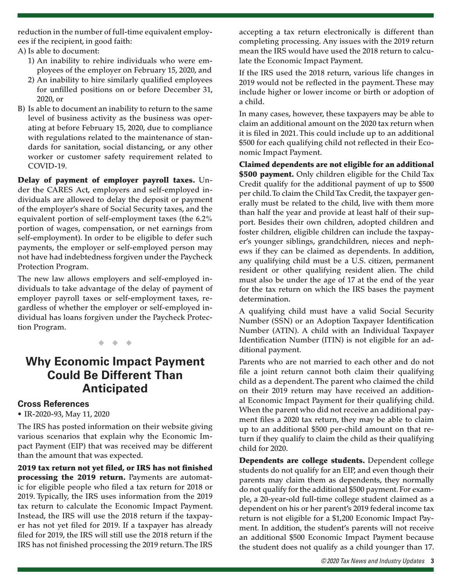reduction in the number of full-time equivalent employees if the recipient, in good faith:

A) Is able to document:

- 1) An inability to rehire individuals who were employees of the employer on February 15, 2020, and
- 2) An inability to hire similarly qualified employees for unfilled positions on or before December 31, 2020, or
- B) Is able to document an inability to return to the same level of business activity as the business was operating at before February 15, 2020, due to compliance with regulations related to the maintenance of standards for sanitation, social distancing, or any other worker or customer safety requirement related to COVID-19.

Delay of payment of employer payroll taxes. Under the CARES Act, employers and self-employed individuals are allowed to delay the deposit or payment of the employer's share of Social Security taxes, and the equivalent portion of self-employment taxes (the 6.2% portion of wages, compensation, or net earnings from self-employment). In order to be eligible to defer such payments, the employer or self-employed person may not have had indebtedness forgiven under the Paycheck Protection Program.

The new law allows employers and self-employed individuals to take advantage of the delay of payment of employer payroll taxes or self-employment taxes, regardless of whether the employer or self-employed individual has loans forgiven under the Paycheck Protection Program.

◆ ◆ ◆

### **Why Economic Impact Payment Could Be Different Than Anticipated**

#### **Cross References**

• IR-2020-93, May 11, 2020

The IRS has posted information on their website giving various scenarios that explain why the Economic Impact Payment (EIP) that was received may be different than the amount that was expected.

2019 tax return not yet filed, or IRS has not finished processing the 2019 return. Payments are automatic for eligible people who filed a tax return for 2018 or 2019. Typically, the IRS uses information from the 2019 tax return to calculate the Economic Impact Payment. Instead, the IRS will use the 2018 return if the taxpayer has not yet filed for 2019. If a taxpayer has already filed for 2019, the IRS will still use the 2018 return if the IRS has not finished processing the 2019 return. The IRS

accepting a tax return electronically is different than completing processing. Any issues with the 2019 return mean the IRS would have used the 2018 return to calculate the Economic Impact Payment.

If the IRS used the 2018 return, various life changes in 2019 would not be reflected in the payment. These may include higher or lower income or birth or adoption of a child.

In many cases, however, these taxpayers may be able to claim an additional amount on the 2020 tax return when it is filed in 2021. This could include up to an additional \$500 for each qualifying child not reflected in their Economic Impact Payment.

Claimed dependents are not eligible for an additional \$500 payment. Only children eligible for the Child Tax Credit qualify for the additional payment of up to \$500 per child. To claim the Child Tax Credit, the taxpayer generally must be related to the child, live with them more than half the year and provide at least half of their support. Besides their own children, adopted children and foster children, eligible children can include the taxpayer's younger siblings, grandchildren, nieces and nephews if they can be claimed as dependents. In addition, any qualifying child must be a U.S. citizen, permanent resident or other qualifying resident alien. The child must also be under the age of 17 at the end of the year for the tax return on which the IRS bases the payment determination.

A qualifying child must have a valid Social Security Number (SSN) or an Adoption Taxpayer Identification Number (ATIN). A child with an Individual Taxpayer Identification Number (ITIN) is not eligible for an additional payment.

Parents who are not married to each other and do not file a joint return cannot both claim their qualifying child as a dependent. The parent who claimed the child on their 2019 return may have received an additional Economic Impact Payment for their qualifying child. When the parent who did not receive an additional payment files a 2020 tax return, they may be able to claim up to an additional \$500 per-child amount on that return if they qualify to claim the child as their qualifying child for 2020.

Dependents are college students. Dependent college students do not qualify for an EIP, and even though their parents may claim them as dependents, they normally do not qualify for the additional \$500 payment. For example, a 20-year-old full-time college student claimed as a dependent on his or her parent's 2019 federal income tax return is not eligible for a \$1,200 Economic Impact Payment. In addition, the student's parents will not receive an additional \$500 Economic Impact Payment because the student does not qualify as a child younger than 17.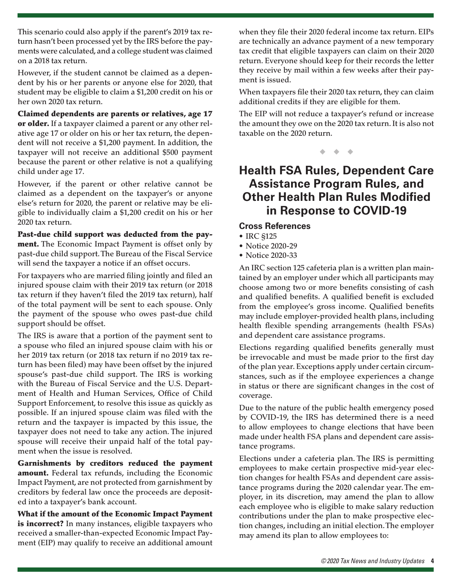This scenario could also apply if the parent's 2019 tax return hasn't been processed yet by the IRS before the payments were calculated, and a college student was claimed on a 2018 tax return.

However, if the student cannot be claimed as a dependent by his or her parents or anyone else for 2020, that student may be eligible to claim a \$1,200 credit on his or her own 2020 tax return.

Claimed dependents are parents or relatives, age 17 or older. If a taxpayer claimed a parent or any other relative age 17 or older on his or her tax return, the dependent will not receive a \$1,200 payment. In addition, the taxpayer will not receive an additional \$500 payment because the parent or other relative is not a qualifying child under age 17.

However, if the parent or other relative cannot be claimed as a dependent on the taxpayer's or anyone else's return for 2020, the parent or relative may be eligible to individually claim a \$1,200 credit on his or her 2020 tax return.

Past-due child support was deducted from the payment. The Economic Impact Payment is offset only by past-due child support. The Bureau of the Fiscal Service will send the taxpayer a notice if an offset occurs.

For taxpayers who are married filing jointly and filed an injured spouse claim with their 2019 tax return (or 2018 tax return if they haven't filed the 2019 tax return), half of the total payment will be sent to each spouse. Only the payment of the spouse who owes past-due child support should be offset.

The IRS is aware that a portion of the payment sent to a spouse who filed an injured spouse claim with his or her 2019 tax return (or 2018 tax return if no 2019 tax return has been filed) may have been offset by the injured spouse's past-due child support. The IRS is working with the Bureau of Fiscal Service and the U.S. Department of Health and Human Services, Office of Child Support Enforcement, to resolve this issue as quickly as possible. If an injured spouse claim was filed with the return and the taxpayer is impacted by this issue, the taxpayer does not need to take any action. The injured spouse will receive their unpaid half of the total payment when the issue is resolved.

Garnishments by creditors reduced the payment amount. Federal tax refunds, including the Economic Impact Payment, are not protected from garnishment by creditors by federal law once the proceeds are deposited into a taxpayer's bank account.

What if the amount of the Economic Impact Payment is incorrect? In many instances, eligible taxpayers who received a smaller-than-expected Economic Impact Payment (EIP) may qualify to receive an additional amount when they file their 2020 federal income tax return. EIPs are technically an advance payment of a new temporary tax credit that eligible taxpayers can claim on their 2020 return. Everyone should keep for their records the letter they receive by mail within a few weeks after their payment is issued.

When taxpayers file their 2020 tax return, they can claim additional credits if they are eligible for them.

The EIP will not reduce a taxpayer's refund or increase the amount they owe on the 2020 tax return. It is also not taxable on the 2020 return.

◆ ◆ ◆

### **Health FSA Rules, Dependent Care Assistance Program Rules, and Other Health Plan Rules Modified in Response to COVID-19**

### **Cross References**

- IRC §125
- Notice 2020-29
- Notice 2020-33

An IRC section 125 cafeteria plan is a written plan maintained by an employer under which all participants may choose among two or more benefits consisting of cash and qualified benefits. A qualified benefit is excluded from the employee's gross income. Qualified benefits may include employer-provided health plans, including health flexible spending arrangements (health FSAs) and dependent care assistance programs.

Elections regarding qualified benefits generally must be irrevocable and must be made prior to the first day of the plan year. Exceptions apply under certain circumstances, such as if the employee experiences a change in status or there are significant changes in the cost of coverage.

Due to the nature of the public health emergency posed by COVID-19, the IRS has determined there is a need to allow employees to change elections that have been made under health FSA plans and dependent care assistance programs.

Elections under a cafeteria plan. The IRS is permitting employees to make certain prospective mid-year election changes for health FSAs and dependent care assistance programs during the 2020 calendar year. The employer, in its discretion, may amend the plan to allow each employee who is eligible to make salary reduction contributions under the plan to make prospective election changes, including an initial election. The employer may amend its plan to allow employees to: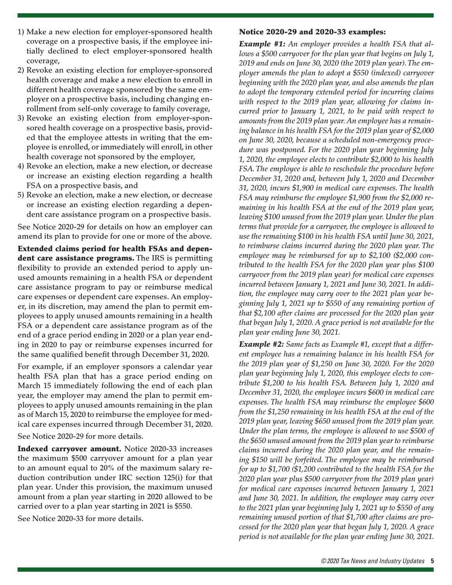- 1) Make a new election for employer-sponsored health coverage on a prospective basis, if the employee initially declined to elect employer-sponsored health coverage,
- 2) Revoke an existing election for employer-sponsored health coverage and make a new election to enroll in different health coverage sponsored by the same employer on a prospective basis, including changing enrollment from self-only coverage to family coverage,
- 3) Revoke an existing election from employer-sponsored health coverage on a prospective basis, provided that the employee attests in writing that the employee is enrolled, or immediately will enroll, in other health coverage not sponsored by the employer,
- 4) Revoke an election, make a new election, or decrease or increase an existing election regarding a health FSA on a prospective basis, and
- 5) Revoke an election, make a new election, or decrease or increase an existing election regarding a dependent care assistance program on a prospective basis.

See Notice 2020-29 for details on how an employer can amend its plan to provide for one or more of the above.

Extended claims period for health FSAs and dependent care assistance programs. The IRS is permitting flexibility to provide an extended period to apply unused amounts remaining in a health FSA or dependent care assistance program to pay or reimburse medical care expenses or dependent care expenses. An employer, in its discretion, may amend the plan to permit employees to apply unused amounts remaining in a health FSA or a dependent care assistance program as of the end of a grace period ending in 2020 or a plan year ending in 2020 to pay or reimburse expenses incurred for the same qualified benefit through December 31, 2020.

For example, if an employer sponsors a calendar year health FSA plan that has a grace period ending on March 15 immediately following the end of each plan year, the employer may amend the plan to permit employees to apply unused amounts remaining in the plan as of March 15, 2020 to reimburse the employee for medical care expenses incurred through December 31, 2020.

See Notice 2020-29 for more details.

Indexed carryover amount. Notice 2020-33 increases the maximum \$500 carryover amount for a plan year to an amount equal to 20% of the maximum salary reduction contribution under IRC section 125(i) for that plan year. Under this provision, the maximum unused amount from a plan year starting in 2020 allowed to be carried over to a plan year starting in 2021 is \$550.

See Notice 2020-33 for more details.

#### Notice 2020-29 and 2020-33 examples:

*Example #1: An employer provides a health FSA that allows a \$500 carryover for the plan year that begins on July 1, 2019 and ends on June 30, 2020 (the 2019 plan year). The employer amends the plan to adopt a \$550 (indexed) carryover beginning with the 2020 plan year, and also amends the plan to adopt the temporary extended period for incurring claims with respect to the 2019 plan year, allowing for claims incurred prior to January 1, 2021, to be paid with respect to amounts from the 2019 plan year. An employee has a remaining balance in his health FSA for the 2019 plan year of \$2,000 on June 30, 2020, because a scheduled non-emergency procedure was postponed. For the 2020 plan year beginning July 1, 2020, the employee elects to contribute \$2,000 to his health FSA. The employee is able to reschedule the procedure before December 31, 2020 and, between July 1, 2020 and December 31, 2020, incurs \$1,900 in medical care expenses. The health FSA may reimburse the employee \$1,900 from the \$2,000 remaining in his health FSA at the end of the 2019 plan year, leaving \$100 unused from the 2019 plan year. Under the plan terms that provide for a carryover, the employee is allowed to use the remaining \$100 in his health FSA until June 30, 2021, to reimburse claims incurred during the 2020 plan year. The employee may be reimbursed for up to \$2,100 (\$2,000 contributed to the health FSA for the 2020 plan year plus \$100 carryover from the 2019 plan year) for medical care expenses incurred between January 1, 2021 and June 30, 2021. In addition, the employee may carry over to the 2021 plan year beginning July 1, 2021 up to \$550 of any remaining portion of that \$2,100 after claims are processed for the 2020 plan year that began July 1, 2020. A grace period is not available for the plan year ending June 30, 2021.*

*Example #2: Same facts as Example #1, except that a different employee has a remaining balance in his health FSA for the 2019 plan year of \$1,250 on June 30, 2020. For the 2020 plan year beginning July 1, 2020, this employee elects to contribute \$1,200 to his health FSA. Between July 1, 2020 and December 31, 2020, the employee incurs \$600 in medical care expenses. The health FSA may reimburse the employee \$600 from the \$1,250 remaining in his health FSA at the end of the 2019 plan year, leaving \$650 unused from the 2019 plan year. Under the plan terms, the employee is allowed to use \$500 of the \$650 unused amount from the 2019 plan year to reimburse claims incurred during the 2020 plan year, and the remaining \$150 will be forfeited. The employee may be reimbursed for up to \$1,700 (\$1,200 contributed to the health FSA for the 2020 plan year plus \$500 carryover from the 2019 plan year) for medical care expenses incurred between January 1, 2021 and June 30, 2021. In addition, the employee may carry over to the 2021 plan year beginning July 1, 2021 up to \$550 of any remaining unused portion of that \$1,700 after claims are processed for the 2020 plan year that began July 1, 2020. A grace period is not available for the plan year ending June 30, 2021.*